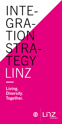# INTE-GRA-TION STRA-TEGY LINZ

Living. Diversity. Together.

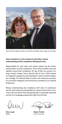

City Councillor Regina Fechter (on the left) and Mayor Klaus Luger (on the right).

#### Good coexistence in Linz is based on promotion, mutual understanding and the compliance with general rules.

Responsibility for each other and mutual respect are the fundamental pillars of social coexistence. That is why we define rules and together ensure their compliance. On top of that, our society is facing constant change. That is why the City of Linz in 2019 revised its integration programme and developed a future-oriented integration strategy. The defined fields of action and measures necessary for successful integration and harmonious coexistence are outlined briefly here.

Mutual understanding and compliance with rules of coexistence are the most important prerequisites for a good common life in Linz. That is why we believe that learning German is especially important and focus on language programmes right from the start.

Klaus Luger Mayor

egs teilib?

Regina Fechter City Councillor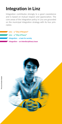## Integration in Linz

Integration contributes strongly to a good coexistence and is based on mutual respect and appreciation. The core areas of the integration policy in Linz are grounded on the municipal integration strategy with its four principles:

- Linz a "City of Respect"
- $Linz a$  "City of Peace"
- Integration  $-$  a task for society
	- Integration an interdisciplinary issue

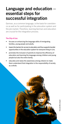## Language and education – essential steps for successful integration

German, as a common language, is the basis for coexistence as well as for participating in the education system and the job market. Therefore, learning German and education are crucial for the integration process.

#### The City of Linz

- focuses on enhancing the language skills of immigrating families, young people and adults.
- lowers the barriers for access to education and thus supports transfer opportunities in the education system for everyone living in Linz.
- promotes the inclusion of parents to improve the efficiency of education and learning the language among children and young people but also the entire family.
- educates and raises the awareness among citizens to make them understand that integration is the responsibility of society as a whole.

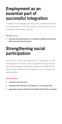## Employment as an essential part of successful integration

In addition to language and education, professional skills and integration in the job market are the basis to successfully participate in society.

#### The City of Linz

improves the opportunities of immigrants to gather professional skills and enter the job market.

## Strengthening social participation

One of the central prerequisites for integration is the participation of people with a migration background in society. Ensuring participation means to consider the diverse initial situations of immigrants and to create fair opportunities.

#### The City of Linz

- promotes voluntary work.
- represents the interests of immigrants on a municipal level.
- guarantees access to all offers and benefits of the health care system.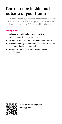## Coexistence inside and outside of your home

Linz is characterized by a peaceful coexistence between all of the people living there. Every person should be able to participate in all spheres of life in Linz within valid rules.

#### The City of Linz

- makes culture visible and promotes encounters.
- encourages, coordinates and creates a network.
- helps to discuss conflicts among citizens through dialogue.
- is characterized by general rules that promote an environment, where people live together peacefully.
- focuses on non-profit housing and access to affordable accommodation.



Find the entire integration strategy here!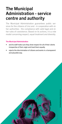## The Municipal Administration - service centre and authority

The Municipal Administration guarantees public services for the citizens of Linz and - in cooperation with other authorities - the compliance with valid legal and other rules of coexistence. Based on its actions, it is a role model concerning respect, equal treatment and diversity.

#### The Municipal Administration

- and its staff make sure they show respect for all of their clients irrespective of their origin and treat them equally.
- rejects the discrimination of citizens and works in a transparent and plausible way.